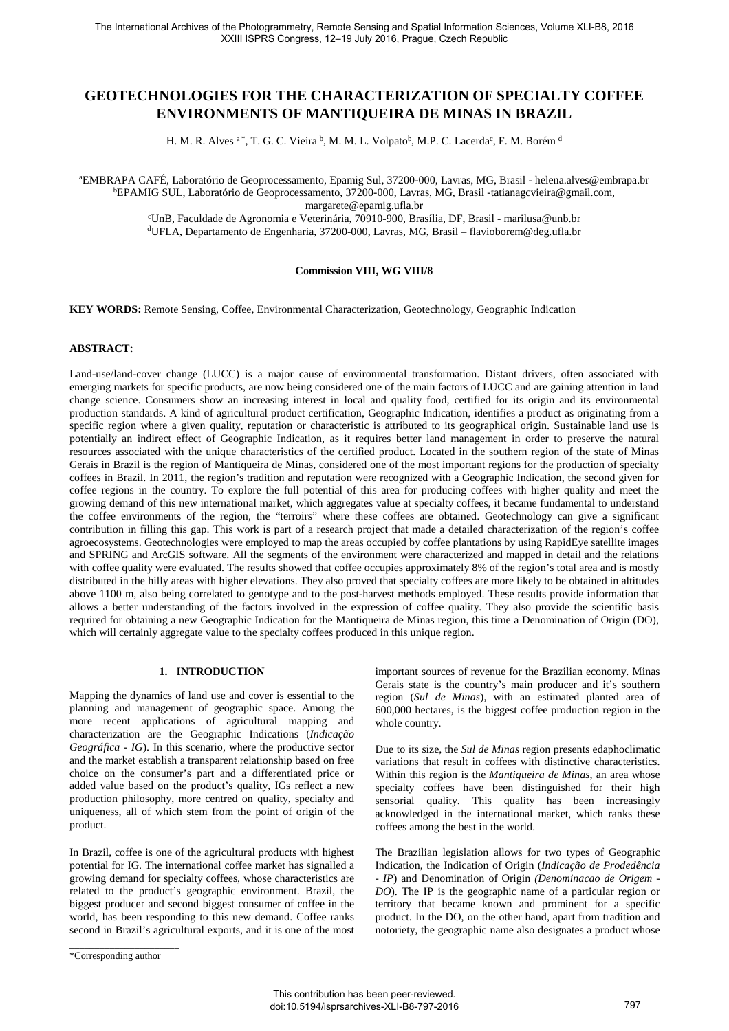# **GEOTECHNOLOGIES FOR THE CHARACTERIZATION OF SPECIALTY COFFEE ENVIRONMENTS OF MANTIQUEIRA DE MINAS IN BRAZIL**

H. M. R. Alves <sup>a</sup>\*, T. G. C. Vieira <sup>b</sup>, M. M. L. Volpato<sup>b</sup>, M.P. C. Lacerda<sup>c</sup>, F. M. Borém <sup>d</sup>

<sup>a</sup>EMBRAPA CAFÉ, Laboratório de Geoprocessamento, Epamig Sul, 37200-000, Lavras, MG, Brasil - helena.alves@embrapa.br <sup>b</sup>EPAMIG SUL, Laboratório de Geoprocessamento, 37200-000, Lavras, MG, Brasil -tatianagcvieira@gmail.com, margarete@epamig.ufla.br

<sup>c</sup>UnB, Faculdade de Agronomia e Veterinária, 70910-900, Brasília, DF, Brasil - marilusa@unb.br <sup>d</sup>UFLA, Departamento de Engenharia, 37200-000, Lavras, MG, Brasil – flavioborem@deg.ufla.br

### **Commission VIII, WG VIII/8**

**KEY WORDS:** Remote Sensing, Coffee, Environmental Characterization, Geotechnology, Geographic Indication

## **ABSTRACT:**

Land-use/land-cover change (LUCC) is a major cause of environmental transformation. Distant drivers, often associated with emerging markets for specific products, are now being considered one of the main factors of LUCC and are gaining attention in land change science. Consumers show an increasing interest in local and quality food, certified for its origin and its environmental production standards. A kind of agricultural product certification, Geographic Indication, identifies a product as originating from a specific region where a given quality, reputation or characteristic is attributed to its geographical origin. Sustainable land use is potentially an indirect effect of Geographic Indication, as it requires better land management in order to preserve the natural resources associated with the unique characteristics of the certified product. Located in the southern region of the state of Minas Gerais in Brazil is the region of Mantiqueira de Minas, considered one of the most important regions for the production of specialty coffees in Brazil. In 2011, the region's tradition and reputation were recognized with a Geographic Indication, the second given for coffee regions in the country. To explore the full potential of this area for producing coffees with higher quality and meet the growing demand of this new international market, which aggregates value at specialty coffees, it became fundamental to understand the coffee environments of the region, the "terroirs" where these coffees are obtained. Geotechnology can give a significant contribution in filling this gap. This work is part of a research project that made a detailed characterization of the region's coffee agroecosystems. Geotechnologies were employed to map the areas occupied by coffee plantations by using RapidEye satellite images and SPRING and ArcGIS software. All the segments of the environment were characterized and mapped in detail and the relations with coffee quality were evaluated. The results showed that coffee occupies approximately 8% of the region's total area and is mostly distributed in the hilly areas with higher elevations. They also proved that specialty coffees are more likely to be obtained in altitudes above 1100 m, also being correlated to genotype and to the post-harvest methods employed. These results provide information that allows a better understanding of the factors involved in the expression of coffee quality. They also provide the scientific basis required for obtaining a new Geographic Indication for the Mantiqueira de Minas region, this time a Denomination of Origin (DO), which will certainly aggregate value to the specialty coffees produced in this unique region.

### **1. INTRODUCTION**

Mapping the dynamics of land use and cover is essential to the planning and management of geographic space. Among the more recent applications of agricultural mapping and characterization are the Geographic Indications (*Indicação Geográfica - IG*). In this scenario, where the productive sector and the market establish a transparent relationship based on free choice on the consumer's part and a differentiated price or added value based on the product's quality, IGs reflect a new production philosophy, more centred on quality, specialty and uniqueness, all of which stem from the point of origin of the product.

In Brazil, coffee is one of the agricultural products with highest potential for IG. The international coffee market has signalled a growing demand for specialty coffees, whose characteristics are related to the product's geographic environment. Brazil, the biggest producer and second biggest consumer of coffee in the world, has been responding to this new demand. Coffee ranks second in Brazil's agricultural exports, and it is one of the most Due to its size, the *Sul de Minas* region presents edaphoclimatic variations that result in coffees with distinctive characteristics. Within this region is the *Mantiqueira de Minas*, an area whose specialty coffees have been distinguished for their high sensorial quality. This quality has been increasingly acknowledged in the international market, which ranks these coffees among the best in the world.

The Brazilian legislation allows for two types of Geographic Indication, the Indication of Origin (*Indicação de Prodedência - IP*) and Denomination of Origin *(Denominacao de Origem - DO*). The IP is the geographic name of a particular region or territory that became known and prominent for a specific product. In the DO, on the other hand, apart from tradition and notoriety, the geographic name also designates a product whose

important sources of revenue for the Brazilian economy. Minas Gerais state is the country's main producer and it's southern region (*Sul de Minas*), with an estimated planted area of 600,000 hectares, is the biggest coffee production region in the whole country.

\_\_\_\_\_\_\_\_\_\_\_\_\_\_\_\_\_\_\_\_\_\_ \*Corresponding author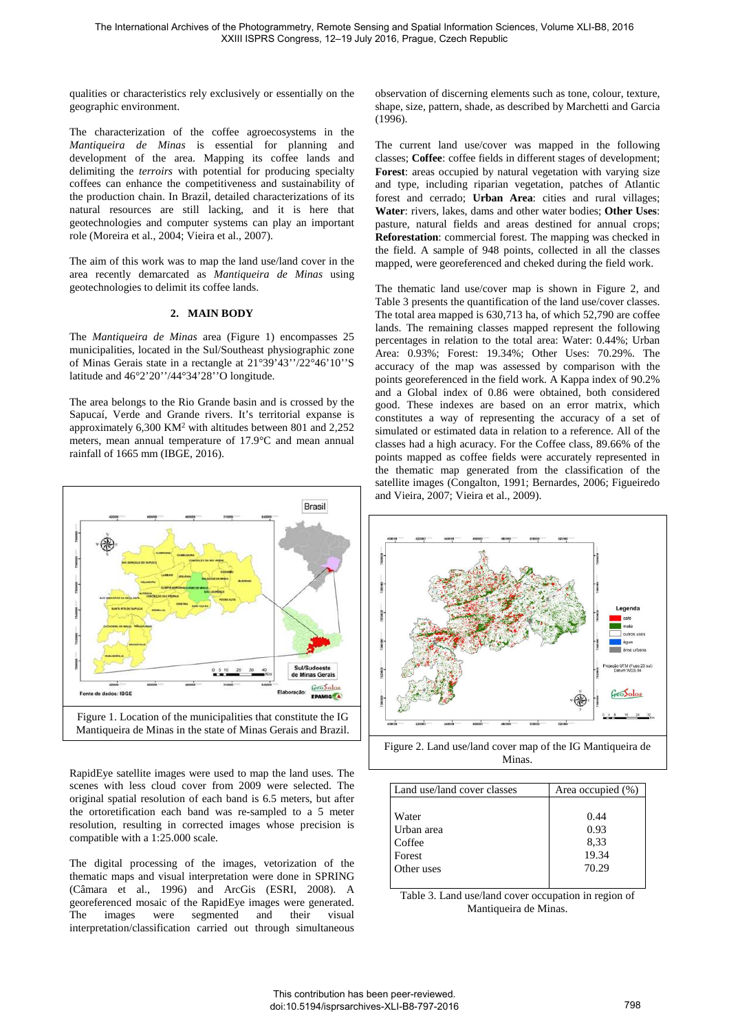qualities or characteristics rely exclusively or essentially on the geographic environment.

The characterization of the coffee agroecosystems in the *Mantiqueira de Minas* is essential for planning and development of the area. Mapping its coffee lands and delimiting the *terroirs* with potential for producing specialty coffees can enhance the competitiveness and sustainability of the production chain. In Brazil, detailed characterizations of its natural resources are still lacking, and it is here that geotechnologies and computer systems can play an important role (Moreira et al., 2004; Vieira et al., 2007).

The aim of this work was to map the land use/land cover in the area recently demarcated as *Mantiqueira de Minas* using geotechnologies to delimit its coffee lands.

### **2. MAIN BODY**

The *Mantiqueira de Minas* area (Figure 1) encompasses 25 municipalities, located in the Sul/Southeast physiographic zone of Minas Gerais state in a rectangle at 21°39'43''/22°46'10''S latitude and 46°2'20''/44°34'28''O longitude.

The area belongs to the Rio Grande basin and is crossed by the Sapucaí, Verde and Grande rivers. It's territorial expanse is approximately 6,300 KM<sup>2</sup> with altitudes between 801 and 2,252 meters, mean annual temperature of 17.9°C and mean annual rainfall of 1665 mm (IBGE, 2016).



RapidEye satellite images were used to map the land uses. The scenes with less cloud cover from 2009 were selected. The original spatial resolution of each band is 6.5 meters, but after the ortoretification each band was re-sampled to a 5 meter resolution, resulting in corrected images whose precision is compatible with a 1:25.000 scale.

The digital processing of the images, vetorization of the thematic maps and visual interpretation were done in SPRING (Câmara et al., 1996) and ArcGis (ESRI, 2008). A georeferenced mosaic of the RapidEye images were generated. The images were segmented and their visual interpretation/classification carried out through simultaneous observation of discerning elements such as tone, colour, texture, shape, size, pattern, shade, as described by Marchetti and Garcia (1996).

The current land use/cover was mapped in the following classes; **Coffee**: coffee fields in different stages of development; **Forest**: areas occupied by natural vegetation with varying size and type, including riparian vegetation, patches of Atlantic forest and cerrado; **Urban Area**: cities and rural villages; **Water**: rivers, lakes, dams and other water bodies; **Other Uses**: pasture, natural fields and areas destined for annual crops; **Reforestation**: commercial forest. The mapping was checked in the field. A sample of 948 points, collected in all the classes mapped, were georeferenced and cheked during the field work.

The thematic land use/cover map is shown in Figure 2, and Table 3 presents the quantification of the land use/cover classes. The total area mapped is 630,713 ha, of which 52,790 are coffee lands. The remaining classes mapped represent the following percentages in relation to the total area: Water: 0.44%; Urban Area: 0.93%; Forest: 19.34%; Other Uses: 70.29%. The accuracy of the map was assessed by comparison with the points georeferenced in the field work. A Kappa index of 90.2% and a Global index of 0.86 were obtained, both considered good. These indexes are based on an error matrix, which constitutes a way of representing the accuracy of a set of simulated or estimated data in relation to a reference. All of the classes had a high acuracy. For the Coffee class, 89.66% of the points mapped as coffee fields were accurately represented in the thematic map generated from the classification of the satellite images (Congalton, 1991; Bernardes, 2006; Figueiredo and Vieira, 2007; Vieira et al., 2009).



Figure 2. Land use/land cover map of the IG Mantiqueira de Minas.

| Land use/land cover classes | Area occupied (%) |
|-----------------------------|-------------------|
| Water                       | 0.44              |
| Urban area                  | 0.93              |
| Coffee                      | 8.33              |
| Forest                      | 19.34             |
| Other uses                  | 70.29             |
|                             |                   |

Table 3. Land use/land cover occupation in region of Mantiqueira de Minas.